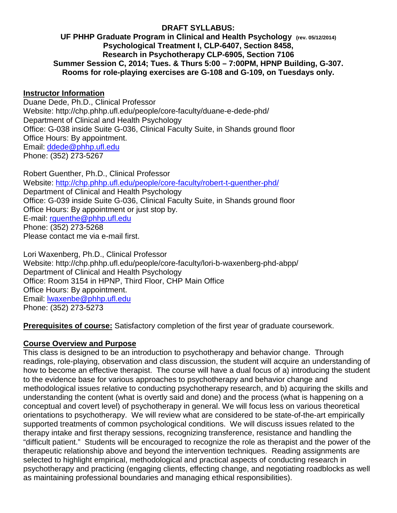## **DRAFT SYLLABUS:**

#### **UF PHHP Graduate Program in Clinical and Health Psychology (rev. 05/12/2014) Psychological Treatment I, CLP-6407, Section 8458, Research in Psychotherapy CLP-6905, Section 7106 Summer Session C, 2014; Tues. & Thurs 5:00 – 7:00PM, HPNP Building, G-307. Rooms for role-playing exercises are G-108 and G-109, on Tuesdays only.**

#### **Instructor Information**

Duane Dede, Ph.D., Clinical Professor Website: http://chp.phhp.ufl.edu/people/core-faculty/duane-e-dede-phd/ Department of Clinical and Health Psychology Office: G-038 inside Suite G-036, Clinical Faculty Suite, in Shands ground floor Office Hours: By appointment. Email: [ddede@phhp.ufl.edu](mailto:ddede@phhp.ufl.edu) Phone: (352) 273-5267

Robert Guenther, Ph.D., Clinical Professor Website:<http://chp.phhp.ufl.edu/people/core-faculty/robert-t-guenther-phd/> Department of Clinical and Health Psychology Office: G-039 inside Suite G-036, Clinical Faculty Suite, in Shands ground floor Office Hours: By appointment or just stop by. E-mail: [rguenthe@phhp.ufl.edu](mailto:rguenthe@phhp.ufl.edu) Phone: (352) 273-5268 Please contact me via e-mail first.

Lori Waxenberg, Ph.D., Clinical Professor Website: http://chp.phhp.ufl.edu/people/core-faculty/lori-b-waxenberg-phd-abpp/ Department of Clinical and Health Psychology Office: Room 3154 in HPNP, Third Floor, CHP Main Office Office Hours: By appointment. Email: [lwaxenbe@phhp.ufl.edu](mailto:lwaxenbe@phhp.ufl.edu) Phone: (352) 273-5273

#### **Prerequisites of course:** Satisfactory completion of the first year of graduate coursework.

#### **Course Overview and Purpose**

This class is designed to be an introduction to psychotherapy and behavior change. Through readings, role-playing, observation and class discussion, the student will acquire an understanding of how to become an effective therapist. The course will have a dual focus of a) introducing the student to the evidence base for various approaches to psychotherapy and behavior change and methodological issues relative to conducting psychotherapy research, and b) acquiring the skills and understanding the content (what is overtly said and done) and the process (what is happening on a conceptual and covert level) of psychotherapy in general. We will focus less on various theoretical orientations to psychotherapy. We will review what are considered to be state-of-the-art empirically supported treatments of common psychological conditions. We will discuss issues related to the therapy intake and first therapy sessions, recognizing transference, resistance and handling the "difficult patient." Students will be encouraged to recognize the role as therapist and the power of the therapeutic relationship above and beyond the intervention techniques. Reading assignments are selected to highlight empirical, methodological and practical aspects of conducting research in psychotherapy and practicing (engaging clients, effecting change, and negotiating roadblocks as well as maintaining professional boundaries and managing ethical responsibilities).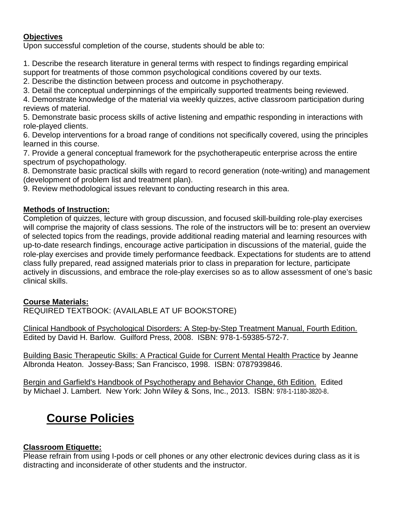## **Objectives**

Upon successful completion of the course, students should be able to:

1. Describe the research literature in general terms with respect to findings regarding empirical

support for treatments of those common psychological conditions covered by our texts.

2. Describe the distinction between process and outcome in psychotherapy.

3. Detail the conceptual underpinnings of the empirically supported treatments being reviewed.

4. Demonstrate knowledge of the material via weekly quizzes, active classroom participation during reviews of material.

5. Demonstrate basic process skills of active listening and empathic responding in interactions with role-played clients.

6. Develop interventions for a broad range of conditions not specifically covered, using the principles learned in this course.

7. Provide a general conceptual framework for the psychotherapeutic enterprise across the entire spectrum of psychopathology.

8. Demonstrate basic practical skills with regard to record generation (note-writing) and management (development of problem list and treatment plan).

9. Review methodological issues relevant to conducting research in this area.

## **Methods of Instruction:**

Completion of quizzes, lecture with group discussion, and focused skill-building role-play exercises will comprise the majority of class sessions. The role of the instructors will be to: present an overview of selected topics from the readings, provide additional reading material and learning resources with up-to-date research findings, encourage active participation in discussions of the material, guide the role-play exercises and provide timely performance feedback. Expectations for students are to attend class fully prepared, read assigned materials prior to class in preparation for lecture, participate actively in discussions, and embrace the role-play exercises so as to allow assessment of one's basic clinical skills.

#### **Course Materials:**

REQUIRED TEXTBOOK: (AVAILABLE AT UF BOOKSTORE)

Clinical Handbook of Psychological Disorders: A Step-by-Step Treatment Manual, Fourth Edition. Edited by David H. Barlow. Guilford Press, 2008. ISBN: 978-1-59385-572-7.

Building Basic Therapeutic Skills: A Practical Guide for Current Mental Health Practice by Jeanne Albronda Heaton. Jossey-Bass; San Francisco, 1998. ISBN: 0787939846.

Bergin and Garfield's Handbook of Psychotherapy and Behavior Change, 6th Edition. Edited by Michael J. Lambert. New York: John Wiley & Sons, Inc., 2013. ISBN: 978-1-1180-3820-8.

# **Course Policies**

#### **Classroom Etiquette:**

Please refrain from using I-pods or cell phones or any other electronic devices during class as it is distracting and inconsiderate of other students and the instructor.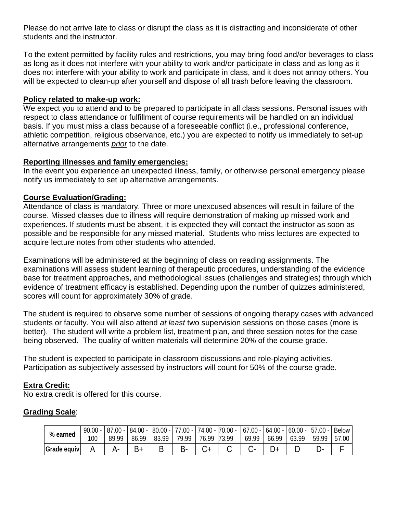Please do not arrive late to class or disrupt the class as it is distracting and inconsiderate of other students and the instructor.

To the extent permitted by facility rules and restrictions, you may bring food and/or beverages to class as long as it does not interfere with your ability to work and/or participate in class and as long as it does not interfere with your ability to work and participate in class, and it does not annoy others. You will be expected to clean-up after yourself and dispose of all trash before leaving the classroom.

#### **Policy related to make-up work:**

We expect you to attend and to be prepared to participate in all class sessions. Personal issues with respect to class attendance or fulfillment of course requirements will be handled on an individual basis. If you must miss a class because of a foreseeable conflict (i.e., professional conference, athletic competition, religious observance, etc.) you are expected to notify us immediately to set-up alternative arrangements *prior* to the date.

### **Reporting illnesses and family emergencies:**

In the event you experience an unexpected illness, family, or otherwise personal emergency please notify us immediately to set up alternative arrangements.

## **Course Evaluation/Grading:**

Attendance of class is mandatory. Three or more unexcused absences will result in failure of the course. Missed classes due to illness will require demonstration of making up missed work and experiences. If students must be absent, it is expected they will contact the instructor as soon as possible and be responsible for any missed material. Students who miss lectures are expected to acquire lecture notes from other students who attended.

Examinations will be administered at the beginning of class on reading assignments. The examinations will assess student learning of therapeutic procedures, understanding of the evidence base for treatment approaches, and methodological issues (challenges and strategies) through which evidence of treatment efficacy is established. Depending upon the number of quizzes administered, scores will count for approximately 30% of grade.

The student is required to observe some number of sessions of ongoing therapy cases with advanced students or faculty. You will also attend *at least* two supervision sessions on those cases (more is better). The student will write a problem list, treatment plan, and three session notes for the case being observed. The quality of written materials will determine 20% of the course grade.

The student is expected to participate in classroom discussions and role-playing activities. Participation as subjectively assessed by instructors will count for 50% of the course grade.

#### **Extra Credit:**

No extra credit is offered for this course.

## **Grading Scale**:

| % earned    | $90.00 -$ |       | $84.00 -$ |       | $ 80.00 - 77.00 -  $ | $74.00 - 70.00 -$ |              | $67.00 -$ | $64.00 -$ | $60.00 -$ | $57.00 -$ | <b>Below</b> |
|-------------|-----------|-------|-----------|-------|----------------------|-------------------|--------------|-----------|-----------|-----------|-----------|--------------|
|             | 100       | 89.99 | 86.99     | 83.99 | 79 99                | 76.99             | <b>73.99</b> | 69.99     | 66.99     | .99<br>63 | 59.99     | 57.00        |
| Grade equiv |           |       |           |       |                      |                   |              |           |           |           |           |              |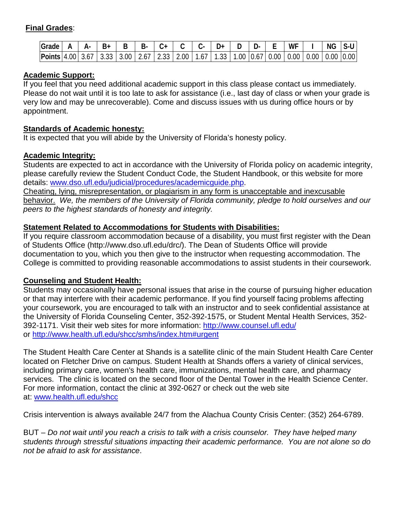## **Final Grades**:

| Grade                               | Δ.   | Β+    |      | ¬-             |             |      |    |             |      | л.   |          | WF   |      | ΝG              | $S-U$ |
|-------------------------------------|------|-------|------|----------------|-------------|------|----|-------------|------|------|----------|------|------|-----------------|-------|
| $\vert$ Points $\vert$ 4.00 $\vert$ | 3.6/ | ິບ.ບປ | 3.00 | $2.6^{\prime}$ | 33 I<br>ں ن | .00. | .0 | - 33<br>. ن | .00. | 0.67 | $0.00\,$ | 0.00 | 0.00 | $0.00$ $ 0.00 $ |       |

### **Academic Support:**

If you feel that you need additional academic support in this class please contact us immediately. Please do not wait until it is too late to ask for assistance (i.e., last day of class or when your grade is very low and may be unrecoverable). Come and discuss issues with us during office hours or by appointment.

### **Standards of Academic honesty:**

It is expected that you will abide by the University of Florida's honesty policy.

### **Academic Integrity:**

Students are expected to act in accordance with the University of Florida policy on academic integrity, please carefully review the Student Conduct Code, the Student Handbook, or this website for more details: [www.dso.ufl.edu/judicial/procedures/academicguide.php.](http://www.dso.ufl.edu/judicial/procedures/academicguide.php)<br>Cheating, lying, misrepresentation, or plagiarism in any form is unacceptable and inexcusable

behavior. *We, the members of the University of Florida community, pledge to hold ourselves and our peers to the highest standards of honesty and integrity.*

## **Statement Related to Accommodations for Students with Disabilities:**

If you require classroom accommodation because of a disability, you must first register with the Dean of Students Office (http://www.dso.ufl.edu/drc/). The Dean of Students Office will provide documentation to you, which you then give to the instructor when requesting accommodation. The College is committed to providing reasonable accommodations to assist students in their coursework.

## **Counseling and Student Health:**

Students may occasionally have personal issues that arise in the course of pursuing higher education or that may interfere with their academic performance. If you find yourself facing problems affecting your coursework, you are encouraged to talk with an instructor and to seek confidential assistance at the University of Florida Counseling Center, 352-392-1575, or Student Mental Health Services, 352- 392-1171. Visit their web sites for more information:<http://www.counsel.ufl.edu/> or<http://www.health.ufl.edu/shcc/smhs/index.htm#urgent>

The Student Health Care Center at Shands is a satellite clinic of the main Student Health Care Center located on Fletcher Drive on campus. Student Health at Shands offers a variety of clinical services, including primary care, women's health care, immunizations, mental health care, and pharmacy services. The clinic is located on the second floor of the Dental Tower in the Health Science Center. For more information, contact the clinic at 392-0627 or check out the web site at: [www.health.ufl.edu/shcc](http://www.health.ufl.edu/shcc)

Crisis intervention is always available 24/7 from the Alachua County Crisis Center: (352) 264-6789.

BUT – *Do not wait until you reach a crisis to talk with a crisis counselor. They have helped many students through stressful situations impacting their academic performance. You are not alone so do not be afraid to ask for assistance*.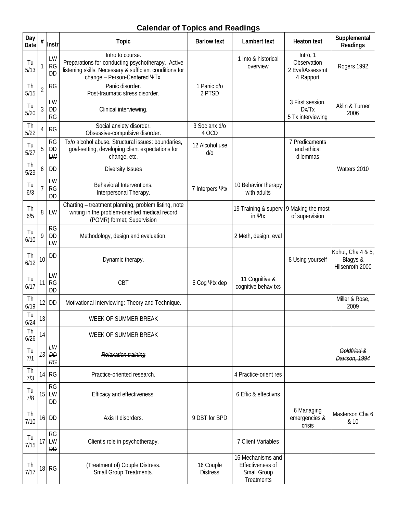## **Calendar of Topics and Readings**

| Day<br>Date | $\#$           | Instr                              | <b>Topic</b>                                                                                                                                                      | <b>Barlow text</b>           | Lambert text                                                       | <b>Heaton text</b>                                      | Supplemental<br>Readings                         |
|-------------|----------------|------------------------------------|-------------------------------------------------------------------------------------------------------------------------------------------------------------------|------------------------------|--------------------------------------------------------------------|---------------------------------------------------------|--------------------------------------------------|
| Tu<br>5/13  |                | LW<br><b>RG</b><br><b>DD</b>       | Intro to course.<br>Preparations for conducting psychotherapy. Active<br>listening skills. Necessary & sufficient conditions for<br>change - Person-Centered ΨTx. |                              | 1 Into & historical<br>overview                                    | Intro, 1<br>Observation<br>2 Eval/Assessmt<br>4 Rapport | Rogers 1992                                      |
| Th<br>5/15  | $\overline{2}$ | <b>RG</b>                          | Panic disorder.<br>Post-traumatic stress disorder.                                                                                                                | 1 Panic d/o<br>2 PTSD        |                                                                    |                                                         |                                                  |
| Tu<br>5/20  | $\mathfrak{Z}$ | LW<br><b>DD</b><br><b>RG</b>       | Clinical interviewing.                                                                                                                                            |                              |                                                                    | 3 First session,<br>Dx/Tx<br>5 Tx interviewing          | Aklin & Turner<br>2006                           |
| Th<br>5/22  | 4              | RG                                 | Social anxiety disorder.<br>Obsessive-compulsive disorder.                                                                                                        | 3 Soc anx d/o<br>4 OCD       |                                                                    |                                                         |                                                  |
| Tu<br>5/27  | 5              | <b>RG</b><br>DD<br>LW              | Tx/o alcohol abuse. Structural issues: boundaries,<br>goal-setting, developing client expectations for<br>change, etc.                                            | 12 Alcohol use<br>d/0        |                                                                    | 7 Predicaments<br>and ethical<br>dilemmas               |                                                  |
| Th<br>5/29  | 6              | DD                                 | <b>Diversity Issues</b>                                                                                                                                           |                              |                                                                    |                                                         | Watters 2010                                     |
| Tu<br>6/3   | $\overline{7}$ | LW<br>RG<br><b>DD</b>              | Behavioral Interventions.<br>Interpersonal Therapy.                                                                                                               | 7 Interpers Ψtx              | 10 Behavior therapy<br>with adults                                 |                                                         |                                                  |
| Th<br>6/5   | 8              | LW                                 | Charting - treatment planning, problem listing, note<br>writing in the problem-oriented medical record<br>(POMR) format; Supervision                              |                              | 19 Training & supery 9 Making the most<br>in Ψtx                   | of supervision                                          |                                                  |
| Tu<br>6/10  | 9              | <b>RG</b><br>DD<br>LW              | Methodology, design and evaluation.                                                                                                                               |                              | 2 Meth, design, eval                                               |                                                         |                                                  |
| Th<br>6/12  | 10             | DD                                 | Dynamic therapy.                                                                                                                                                  |                              |                                                                    | 8 Using yourself                                        | Kohut, Cha 4 & 5;<br>Blagys &<br>Hilsenroth 2000 |
| Tu<br>6/17  | 11             | LW<br>RG<br><b>DD</b>              | <b>CBT</b>                                                                                                                                                        | 6 Cog Ψtx dep                | 11 Cognitive &<br>cognitive behav txs                              |                                                         |                                                  |
| Th<br>6/19  | 12             | <b>DD</b>                          | Motivational Interviewing: Theory and Technique.                                                                                                                  |                              |                                                                    |                                                         | Miller & Rose,<br>2009                           |
| Tu<br>6/24  | 13             |                                    | WEEK OF SUMMER BREAK                                                                                                                                              |                              |                                                                    |                                                         |                                                  |
| Th<br>6/26  | 14             |                                    | WEEK OF SUMMER BREAK                                                                                                                                              |                              |                                                                    |                                                         |                                                  |
| Tu<br>7/1   | 13             | LW<br>$\overline{D}D$<br><b>RG</b> | Relaxation training                                                                                                                                               |                              |                                                                    |                                                         | Goldfried &<br>Davison, 1994                     |
| Th<br>7/3   | 14             | <b>RG</b>                          | Practice-oriented research.                                                                                                                                       |                              | 4 Practice-orient res                                              |                                                         |                                                  |
| Tu<br>7/8   | 15             | <b>RG</b><br>LW<br>DD              | Efficacy and effectiveness.                                                                                                                                       |                              | 6 Effic & effectivns                                               |                                                         |                                                  |
| Th<br>7/10  | 16             | <b>DD</b>                          | Axis II disorders.                                                                                                                                                | 9 DBT for BPD                |                                                                    | 6 Managing<br>emergencies &<br>crisis                   | Masterson Cha 6<br>& 10                          |
| Tu<br>7/15  | 17             | <b>RG</b><br>LW<br><b>DD</b>       | Client's role in psychotherapy.                                                                                                                                   |                              | 7 Client Variables                                                 |                                                         |                                                  |
| Th<br>7/17  |                | 18 RG                              | (Treatment of) Couple Distress.<br>Small Group Treatments.                                                                                                        | 16 Couple<br><b>Distress</b> | 16 Mechanisms and<br>Effectiveness of<br>Small Group<br>Treatments |                                                         |                                                  |